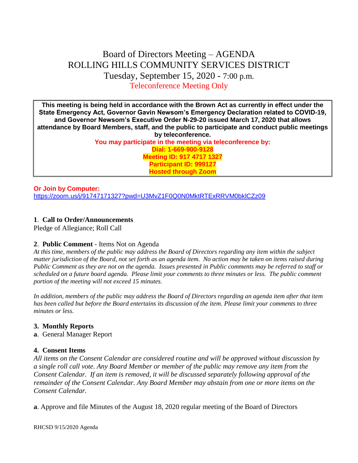# Board of Directors Meeting – AGENDA ROLLING HILLS COMMUNITY SERVICES DISTRICT Tuesday, September 15, 2020 - 7:00 p.m. Teleconference Meeting Only

**This meeting is being held in accordance with the Brown Act as currently in effect under the State Emergency Act, Governor Gavin Newsom's Emergency Declaration related to COVID-19, and Governor Newsom's Executive Order N-29-20 issued March 17, 2020 that allows attendance by Board Members, staff, and the public to participate and conduct public meetings by teleconference.**

**You may participate in the meeting via teleconference by: Dial: 1-669-900-9128 Meeting ID: 917 4717 1327 Participant ID: 999127 Hosted through Zoom**

#### **Or Join by Computer:**  <https://zoom.us/j/91747171327?pwd=U3MvZ1F0Q0N0MktRTExRRVM0bklCZz09>

# **1**. **Call to Order/Announcements**

Pledge of Allegiance; Roll Call

# **2**. **Public Comment** - Items Not on Agenda

*At this time, members of the public may address the Board of Directors regarding any item within the subject matter jurisdiction of the Board, not set forth as an agenda item. No action may be taken on items raised during Public Comment as they are not on the agenda. Issues presented in Public comments may be referred to staff or scheduled on a future board agenda. Please limit your comments to three minutes or less. The public comment portion of the meeting will not exceed 15 minutes.*

*In addition, members of the public may address the Board of Directors regarding an agenda item after that item has been called but before the Board entertains its discussion of the item. Please limit your comments to three minutes or less.*

# **3. Monthly Reports**

**a**. General Manager Report

# **4. Consent Items**

*All items on the Consent Calendar are considered routine and will be approved without discussion by a single roll call vote. Any Board Member or member of the public may remove any item from the Consent Calendar. If an item is removed, it will be discussed separately following approval of the remainder of the Consent Calendar. Any Board Member may abstain from one or more items on the Consent Calendar.*

**a**. Approve and file Minutes of the August 18, 2020 regular meeting of the Board of Directors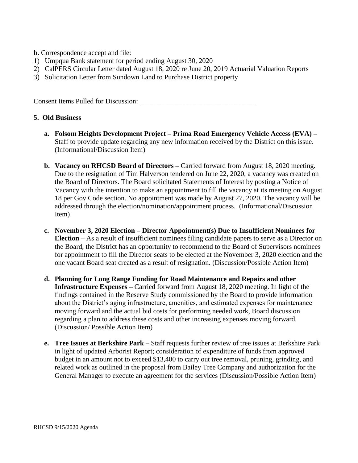**b.** Correspondence accept and file:

- 1) Umpqua Bank statement for period ending August 30, 2020
- 2) CalPERS Circular Letter dated August 18, 2020 re June 20, 2019 Actuarial Valuation Reports
- 3) Solicitation Letter from Sundown Land to Purchase District property

Consent Items Pulled for Discussion:

#### **5. Old Business**

- **a. Folsom Heights Development Project – Prima Road Emergency Vehicle Access (EVA) –** Staff to provide update regarding any new information received by the District on this issue. (Informational/Discussion Item)
- **b. Vacancy on RHCSD Board of Directors –** Carried forward from August 18, 2020 meeting. Due to the resignation of Tim Halverson tendered on June 22, 2020, a vacancy was created on the Board of Directors. The Board solicitated Statements of Interest by posting a Notice of Vacancy with the intention to make an appointment to fill the vacancy at its meeting on August 18 per Gov Code section. No appointment was made by August 27, 2020. The vacancy will be addressed through the election/nomination/appointment process. (Informational/Discussion Item)
- **c. November 3, 2020 Election – Director Appointment(s) Due to Insufficient Nominees for Election –** As a result of insufficient nominees filing candidate papers to serve as a Director on the Board, the District has an opportunity to recommend to the Board of Supervisors nominees for appointment to fill the Director seats to be elected at the November 3, 2020 election and the one vacant Board seat created as a result of resignation. (Discussion/Possible Action Item)
- **d. Planning for Long Range Funding for Road Maintenance and Repairs and other Infrastructure Expenses –** Carried forward from August 18, 2020 meeting. In light of the findings contained in the Reserve Study commissioned by the Board to provide information about the District's aging infrastructure, amenities, and estimated expenses for maintenance moving forward and the actual bid costs for performing needed work, Board discussion regarding a plan to address these costs and other increasing expenses moving forward. (Discussion/ Possible Action Item)
- **e. Tree Issues at Berkshire Park –** Staff requests further review of tree issues at Berkshire Park in light of updated Arborist Report; consideration of expenditure of funds from approved budget in an amount not to exceed \$13,400 to carry out tree removal, pruning, grinding, and related work as outlined in the proposal from Bailey Tree Company and authorization for the General Manager to execute an agreement for the services (Discussion/Possible Action Item)